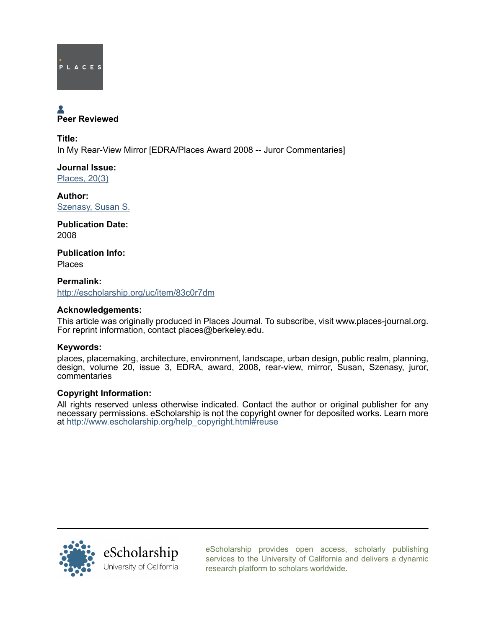

# Peer Reviewed

Title: In My Rear-View Mirror [EDRA/Places Award 2008 -- Juror Commentaries]

Journal Issue: [Places, 20\(3\)](http://escholarship.org/uc/ced_places?volume=20;issue=3)

Author: [Szenasy, Susan S.](http://escholarship.org/uc/search?creator=Szenasy%2C%20Susan%20S.)

Publication Date: 2008

Publication Info: Places

Permalink: <http://escholarship.org/uc/item/83c0r7dm>

#### Acknowledgements:

This article was originally produced in Places Journal. To subscribe, visit www.places-journal.org. For reprint information, contact places@berkeley.edu.

### Keywords:

places, placemaking, architecture, environment, landscape, urban design, public realm, planning, design, volume 20, issue 3, EDRA, award, 2008, rear-view, mirror, Susan, Szenasy, juror, commentaries

#### Copyright Information:

All rights reserved unless otherwise indicated. Contact the author or original publisher for any necessary permissions. eScholarship is not the copyright owner for deposited works. Learn more at [http://www.escholarship.org/help\\_copyright.html#reuse](http://www.escholarship.org/help_copyright.html#reuse)



[eScholarship provides open access, scholarly publishing](http://escholarship.org) [services to the University of California and delivers a dynamic](http://escholarship.org) [research platform to scholars worldwide.](http://escholarship.org)